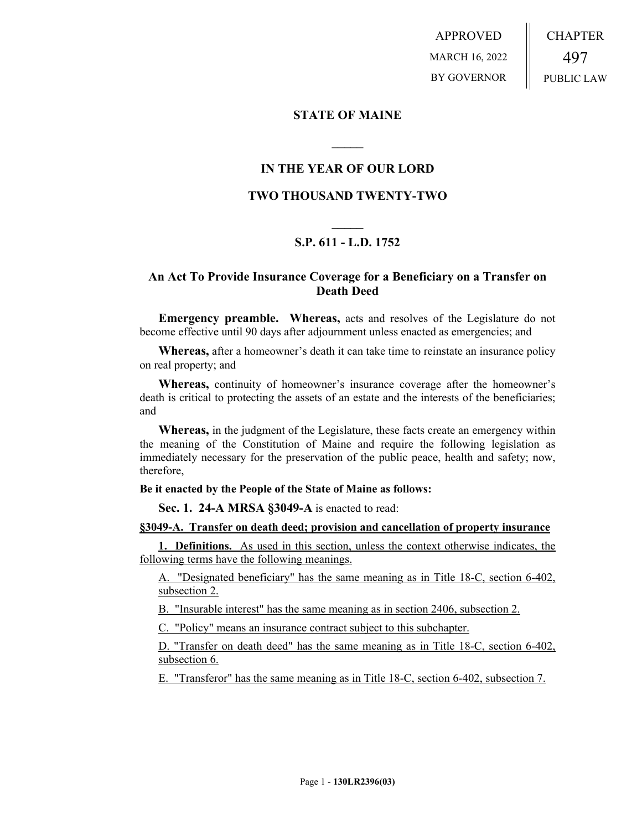APPROVED MARCH 16, 2022 BY GOVERNOR CHAPTER 497 PUBLIC LAW

### **STATE OF MAINE**

## **IN THE YEAR OF OUR LORD**

**\_\_\_\_\_**

## **TWO THOUSAND TWENTY-TWO**

# **\_\_\_\_\_ S.P. 611 - L.D. 1752**

## **An Act To Provide Insurance Coverage for a Beneficiary on a Transfer on Death Deed**

**Emergency preamble. Whereas,** acts and resolves of the Legislature do not become effective until 90 days after adjournment unless enacted as emergencies; and

**Whereas,** after a homeowner's death it can take time to reinstate an insurance policy on real property; and

**Whereas,** continuity of homeowner's insurance coverage after the homeowner's death is critical to protecting the assets of an estate and the interests of the beneficiaries; and

**Whereas,** in the judgment of the Legislature, these facts create an emergency within the meaning of the Constitution of Maine and require the following legislation as immediately necessary for the preservation of the public peace, health and safety; now, therefore,

### **Be it enacted by the People of the State of Maine as follows:**

**Sec. 1. 24-A MRSA §3049-A** is enacted to read:

#### **§3049-A. Transfer on death deed; provision and cancellation of property insurance**

**1. Definitions.** As used in this section, unless the context otherwise indicates, the following terms have the following meanings.

"Designated beneficiary" has the same meaning as in Title 18-C, section 6-402, subsection 2.

B. "Insurable interest" has the same meaning as in section 2406, subsection 2.

C. "Policy" means an insurance contract subject to this subchapter.

D. "Transfer on death deed" has the same meaning as in Title 18-C, section 6-402, subsection 6.

E. "Transferor" has the same meaning as in Title 18-C, section 6-402, subsection 7.